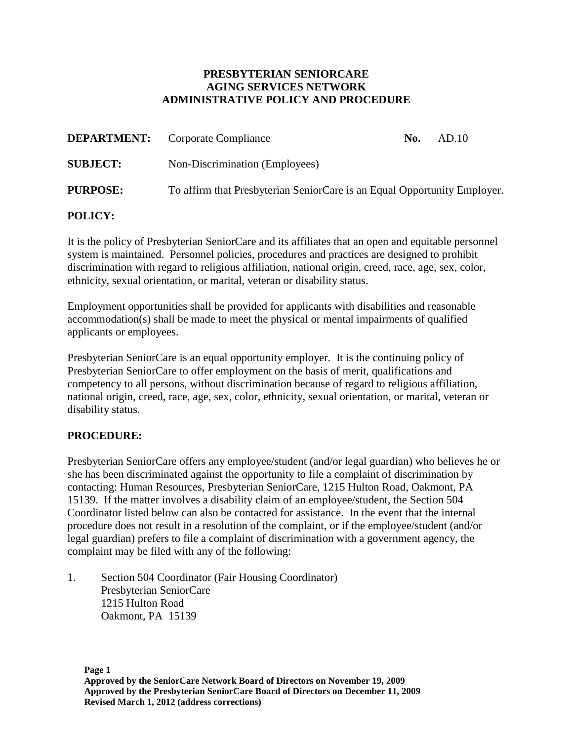## **PRESBYTERIAN SENIORCARE AGING SERVICES NETWORK ADMINISTRATIVE POLICY AND PROCEDURE**

|                 | <b>DEPARTMENT:</b> Corporate Compliance                                  | No. | AD.10 |
|-----------------|--------------------------------------------------------------------------|-----|-------|
| <b>SUBJECT:</b> | Non-Discrimination (Employees)                                           |     |       |
| <b>PURPOSE:</b> | To affirm that Presbyterian SeniorCare is an Equal Opportunity Employer. |     |       |

## **POLICY:**

It is the policy of Presbyterian SeniorCare and its affiliates that an open and equitable personnel system is maintained. Personnel policies, procedures and practices are designed to prohibit discrimination with regard to religious affiliation, national origin, creed, race, age, sex, color, ethnicity, sexual orientation, or marital, veteran or disability status.

Employment opportunities shall be provided for applicants with disabilities and reasonable accommodation(s) shall be made to meet the physical or mental impairments of qualified applicants or employees.

Presbyterian SeniorCare is an equal opportunity employer. It is the continuing policy of Presbyterian SeniorCare to offer employment on the basis of merit, qualifications and competency to all persons, without discrimination because of regard to religious affiliation, national origin, creed, race, age, sex, color, ethnicity, sexual orientation, or marital, veteran or disability status.

## **PROCEDURE:**

Presbyterian SeniorCare offers any employee/student (and/or legal guardian) who believes he or she has been discriminated against the opportunity to file a complaint of discrimination by contacting: Human Resources, Presbyterian SeniorCare, 1215 Hulton Road, Oakmont, PA 15139. If the matter involves a disability claim of an employee/student, the Section 504 Coordinator listed below can also be contacted for assistance. In the event that the internal procedure does not result in a resolution of the complaint, or if the employee/student (and/or legal guardian) prefers to file a complaint of discrimination with a government agency, the complaint may be filed with any of the following:

1. Section 504 Coordinator (Fair Housing Coordinator) Presbyterian SeniorCare 1215 Hulton Road Oakmont, PA 15139